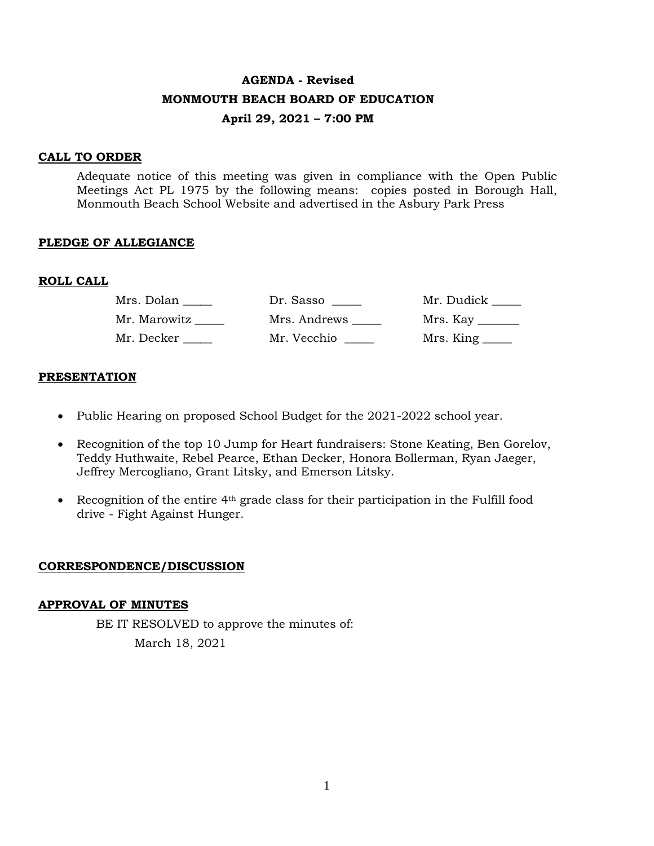# **AGENDA - Revised MONMOUTH BEACH BOARD OF EDUCATION April 29, 2021 – 7:00 PM**

#### **CALL TO ORDER**

Adequate notice of this meeting was given in compliance with the Open Public Meetings Act PL 1975 by the following means: copies posted in Borough Hall, Monmouth Beach School Website and advertised in the Asbury Park Press

### **PLEDGE OF ALLEGIANCE**

### **ROLL CALL**

| Mrs. Dolan   | Dr. Sasso    | Mr. Dudick _____ |
|--------------|--------------|------------------|
| Mr. Marowitz | Mrs. Andrews |                  |
| Mr. Decker   | Mr. Vecchio  | Mrs. King ______ |

### **PRESENTATION**

- Public Hearing on proposed School Budget for the 2021-2022 school year.
- Recognition of the top 10 Jump for Heart fundraisers: Stone Keating, Ben Gorelov, Teddy Huthwaite, Rebel Pearce, Ethan Decker, Honora Bollerman, Ryan Jaeger, Jeffrey Mercogliano, Grant Litsky, and Emerson Litsky.
- Recognition of the entire  $4<sup>th</sup>$  grade class for their participation in the Fulfill food drive - Fight Against Hunger.

#### **CORRESPONDENCE/DISCUSSION**

#### **APPROVAL OF MINUTES**

BE IT RESOLVED to approve the minutes of: March 18, 2021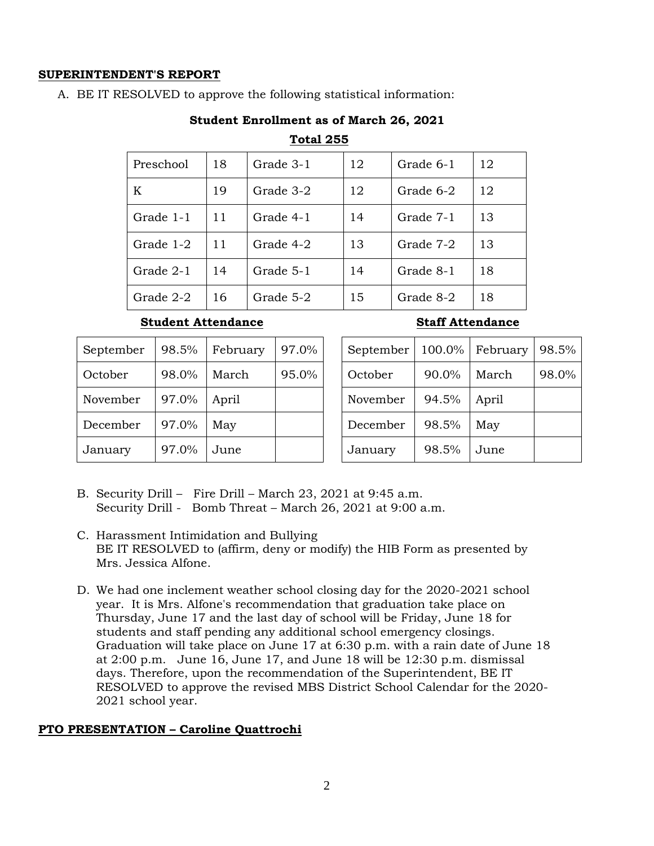# **SUPERINTENDENT'S REPORT**

A. BE IT RESOLVED to approve the following statistical information:

# **Student Enrollment as of March 26, 2021**

#### **Total 255**

| Preschool | 18 | Grade 3-1 | 12 | Grade 6-1 | 12 |
|-----------|----|-----------|----|-----------|----|
| K         | 19 | Grade 3-2 | 12 | Grade 6-2 | 12 |
| Grade 1-1 | 11 | Grade 4-1 | 14 | Grade 7-1 | 13 |
| Grade 1-2 | 11 | Grade 4-2 | 13 | Grade 7-2 | 13 |
| Grade 2-1 | 14 | Grade 5-1 | 14 | Grade 8-1 | 18 |
| Grade 2-2 | 16 | Grade 5-2 | 15 | Grade 8-2 | 18 |

# **Student Attendance Staff Attendance**

| September | 98.5% | February | 97.0% |
|-----------|-------|----------|-------|
| October   | 98.0% | March    | 95.0% |
| November  | 97.0% | April    |       |
| December  | 97.0% | May      |       |
| January   | 97.0% | June     |       |

| September | 100.0% | February | 98.5% |
|-----------|--------|----------|-------|
| October   | 90.0%  | March    | 98.0% |
| November  | 94.5%  | April    |       |
| December  | 98.5%  | May      |       |
| January   | 98.5%  | June     |       |

- B. Security Drill Fire Drill March 23, 2021 at 9:45 a.m. Security Drill - Bomb Threat – March 26, 2021 at 9:00 a.m.
- C. Harassment Intimidation and Bullying BE IT RESOLVED to (affirm, deny or modify) the HIB Form as presented by Mrs. Jessica Alfone.
- D. We had one inclement weather school closing day for the 2020-2021 school year. It is Mrs. Alfone's recommendation that graduation take place on Thursday, June 17 and the last day of school will be Friday, June 18 for students and staff pending any additional school emergency closings. Graduation will take place on June 17 at 6:30 p.m. with a rain date of June 18 at  $2:00$  p.m. June  $16$ , June 17, and June 18 will be  $12:30$  p.m. dismissal days. Therefore, upon the recommendation of the Superintendent, BE IT RESOLVED to approve the revised MBS District School Calendar for the 2020- 2021 school year.

# **PTO PRESENTATION – Caroline Quattrochi**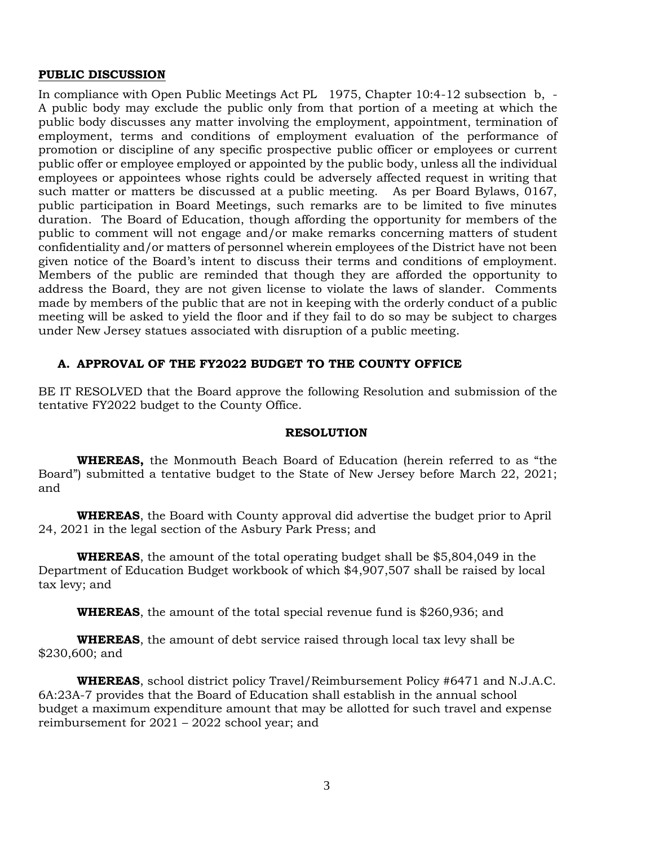#### **PUBLIC DISCUSSION**

In compliance with Open Public Meetings Act PL 1975, Chapter 10:4-12 subsection b, - A public body may exclude the public only from that portion of a meeting at which the public body discusses any matter involving the employment, appointment, termination of employment, terms and conditions of employment evaluation of the performance of promotion or discipline of any specific prospective public officer or employees or current public offer or employee employed or appointed by the public body, unless all the individual employees or appointees whose rights could be adversely affected request in writing that such matter or matters be discussed at a public meeting. As per Board Bylaws, 0167, public participation in Board Meetings, such remarks are to be limited to five minutes duration. The Board of Education, though affording the opportunity for members of the public to comment will not engage and/or make remarks concerning matters of student confidentiality and/or matters of personnel wherein employees of the District have not been given notice of the Board's intent to discuss their terms and conditions of employment. Members of the public are reminded that though they are afforded the opportunity to address the Board, they are not given license to violate the laws of slander. Comments made by members of the public that are not in keeping with the orderly conduct of a public meeting will be asked to yield the floor and if they fail to do so may be subject to charges under New Jersey statues associated with disruption of a public meeting.

#### **A. APPROVAL OF THE FY2022 BUDGET TO THE COUNTY OFFICE**

BE IT RESOLVED that the Board approve the following Resolution and submission of the tentative FY2022 budget to the County Office.

#### **RESOLUTION**

**WHEREAS,** the Monmouth Beach Board of Education (herein referred to as "the Board") submitted a tentative budget to the State of New Jersey before March 22, 2021; and

**WHEREAS**, the Board with County approval did advertise the budget prior to April 24, 2021 in the legal section of the Asbury Park Press; and

**WHEREAS**, the amount of the total operating budget shall be \$5,804,049 in the Department of Education Budget workbook of which \$4,907,507 shall be raised by local tax levy; and

**WHEREAS**, the amount of the total special revenue fund is \$260,936; and

**WHEREAS**, the amount of debt service raised through local tax levy shall be \$230,600; and

**WHEREAS**, school district policy Travel/Reimbursement Policy #6471 and N.J.A.C. 6A:23A-7 provides that the Board of Education shall establish in the annual school budget a maximum expenditure amount that may be allotted for such travel and expense reimbursement for 2021 – 2022 school year; and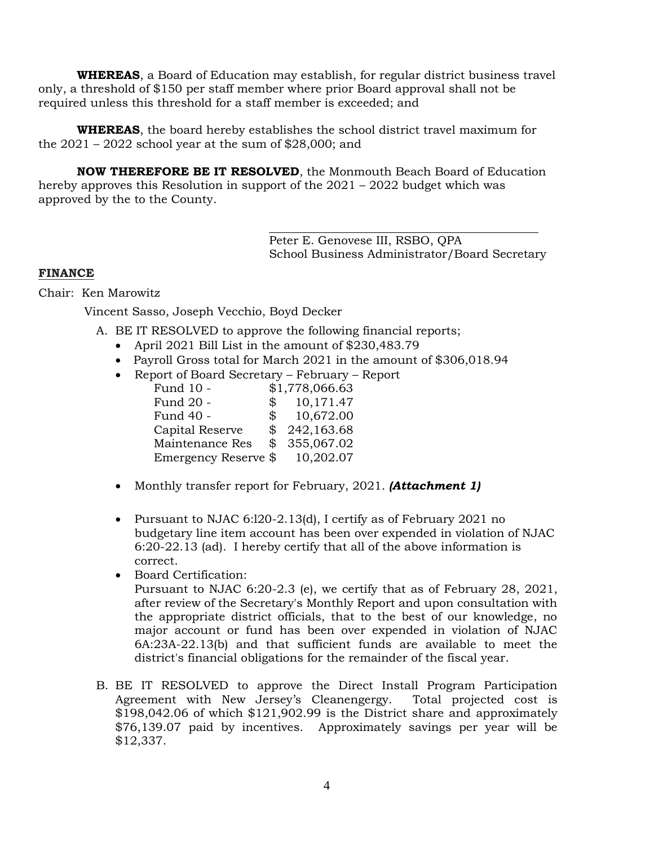**WHEREAS**, a Board of Education may establish, for regular district business travel only, a threshold of \$150 per staff member where prior Board approval shall not be required unless this threshold for a staff member is exceeded; and

**WHEREAS**, the board hereby establishes the school district travel maximum for the  $2021 - 2022$  school year at the sum of \$28,000; and

**NOW THEREFORE BE IT RESOLVED**, the Monmouth Beach Board of Education hereby approves this Resolution in support of the 2021 – 2022 budget which was approved by the to the County.

> Peter E. Genovese III, RSBO, QPA School Business Administrator/Board Secretary

# **FINANCE**

Chair: Ken Marowitz

Vincent Sasso, Joseph Vecchio, Boyd Decker

A. BE IT RESOLVED to approve the following financial reports;

- April 2021 Bill List in the amount of \$230,483.79
- Payroll Gross total for March 2021 in the amount of \$306,018.94
- Report of Board Secretary February Report

| Fund 10 -            |              | \$1,778,066.63 |
|----------------------|--------------|----------------|
| Fund 20 -            | \$           | 10,171.47      |
| Fund 40 -            | $^{\circ}$   | 10,672.00      |
| Capital Reserve      | $\mathbb{S}$ | 242,163.68     |
| Maintenance Res      | \$           | 355,067.02     |
| Emergency Reserve \$ |              | 10,202.07      |

- Monthly transfer report for February, 2021. *(Attachment 1)*
- Pursuant to NJAC 6:l20-2.13(d), I certify as of February 2021 no budgetary line item account has been over expended in violation of NJAC 6:20-22.13 (ad). I hereby certify that all of the above information is correct.
- Board Certification:

Pursuant to NJAC 6:20-2.3 (e), we certify that as of February 28, 2021, after review of the Secretary's Monthly Report and upon consultation with the appropriate district officials, that to the best of our knowledge, no major account or fund has been over expended in violation of NJAC 6A:23A-22.13(b) and that sufficient funds are available to meet the district's financial obligations for the remainder of the fiscal year.

B. BE IT RESOLVED to approve the Direct Install Program Participation Agreement with New Jersey's Cleanengergy. Total projected cost is \$198,042.06 of which \$121,902.99 is the District share and approximately \$76,139.07 paid by incentives. Approximately savings per year will be \$12,337.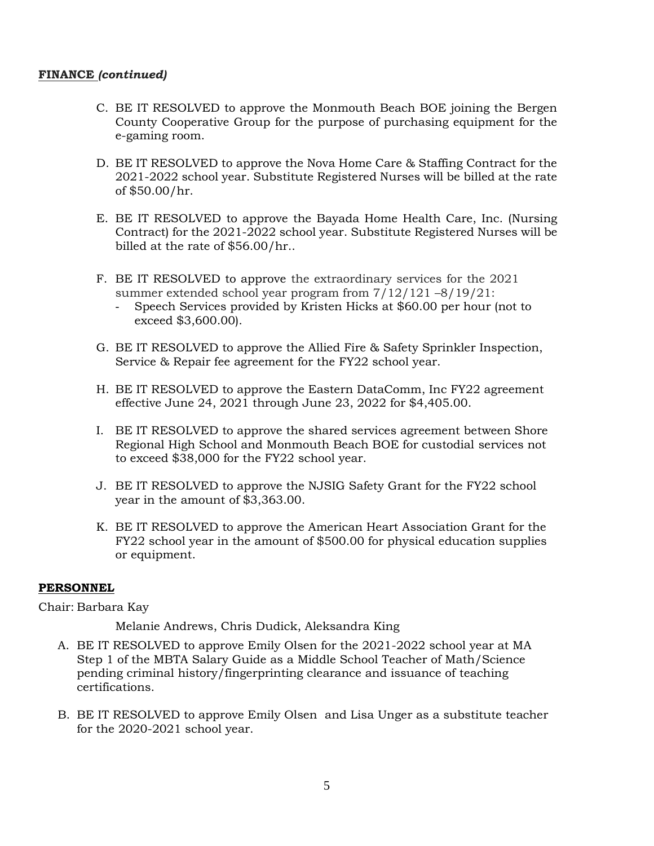### **FINANCE** *(continued)*

- C. BE IT RESOLVED to approve the Monmouth Beach BOE joining the Bergen County Cooperative Group for the purpose of purchasing equipment for the e-gaming room.
- D. BE IT RESOLVED to approve the Nova Home Care & Staffing Contract for the 2021-2022 school year. Substitute Registered Nurses will be billed at the rate of \$50.00/hr.
- E. BE IT RESOLVED to approve the Bayada Home Health Care, Inc. (Nursing Contract) for the 2021-2022 school year. Substitute Registered Nurses will be billed at the rate of \$56.00/hr..
- F. BE IT RESOLVED to approve the extraordinary services for the 2021 summer extended school year program from 7/12/121 –8/19/21:
	- Speech Services provided by Kristen Hicks at \$60.00 per hour (not to exceed \$3,600.00).
- G. BE IT RESOLVED to approve the Allied Fire & Safety Sprinkler Inspection, Service & Repair fee agreement for the FY22 school year.
- H. BE IT RESOLVED to approve the Eastern DataComm, Inc FY22 agreement effective June 24, 2021 through June 23, 2022 for \$4,405.00.
- I. BE IT RESOLVED to approve the shared services agreement between Shore Regional High School and Monmouth Beach BOE for custodial services not to exceed \$38,000 for the FY22 school year.
- J. BE IT RESOLVED to approve the NJSIG Safety Grant for the FY22 school year in the amount of \$3,363.00.
- K. BE IT RESOLVED to approve the American Heart Association Grant for the FY22 school year in the amount of \$500.00 for physical education supplies or equipment.

#### **PERSONNEL**

Chair: Barbara Kay

Melanie Andrews, Chris Dudick, Aleksandra King

- A. BE IT RESOLVED to approve Emily Olsen for the 2021-2022 school year at MA Step 1 of the MBTA Salary Guide as a Middle School Teacher of Math/Science pending criminal history/fingerprinting clearance and issuance of teaching certifications.
- B. BE IT RESOLVED to approve Emily Olsen and Lisa Unger as a substitute teacher for the 2020-2021 school year.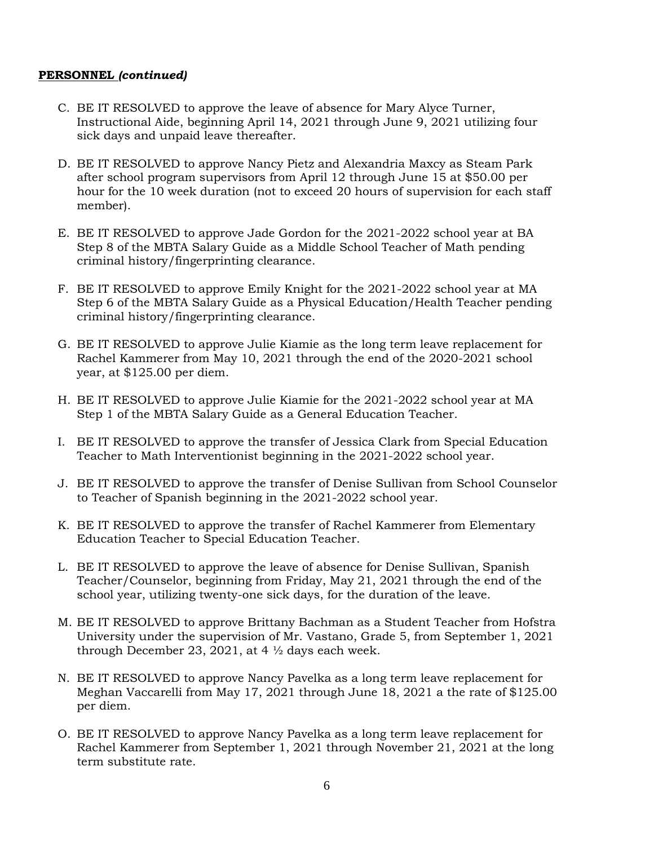#### **PERSONNEL** *(continued)*

- C. BE IT RESOLVED to approve the leave of absence for Mary Alyce Turner, Instructional Aide, beginning April 14, 2021 through June 9, 2021 utilizing four sick days and unpaid leave thereafter.
- D. BE IT RESOLVED to approve Nancy Pietz and Alexandria Maxcy as Steam Park after school program supervisors from April 12 through June 15 at \$50.00 per hour for the 10 week duration (not to exceed 20 hours of supervision for each staff member).
- E. BE IT RESOLVED to approve Jade Gordon for the 2021-2022 school year at BA Step 8 of the MBTA Salary Guide as a Middle School Teacher of Math pending criminal history/fingerprinting clearance.
- F. BE IT RESOLVED to approve Emily Knight for the 2021-2022 school year at MA Step 6 of the MBTA Salary Guide as a Physical Education/Health Teacher pending criminal history/fingerprinting clearance.
- G. BE IT RESOLVED to approve Julie Kiamie as the long term leave replacement for Rachel Kammerer from May 10, 2021 through the end of the 2020-2021 school year, at \$125.00 per diem.
- H. BE IT RESOLVED to approve Julie Kiamie for the 2021-2022 school year at MA Step 1 of the MBTA Salary Guide as a General Education Teacher.
- I. BE IT RESOLVED to approve the transfer of Jessica Clark from Special Education Teacher to Math Interventionist beginning in the 2021-2022 school year.
- J. BE IT RESOLVED to approve the transfer of Denise Sullivan from School Counselor to Teacher of Spanish beginning in the 2021-2022 school year.
- K. BE IT RESOLVED to approve the transfer of Rachel Kammerer from Elementary Education Teacher to Special Education Teacher.
- L. BE IT RESOLVED to approve the leave of absence for Denise Sullivan, Spanish Teacher/Counselor, beginning from Friday, May 21, 2021 through the end of the school year, utilizing twenty-one sick days, for the duration of the leave.
- M. BE IT RESOLVED to approve Brittany Bachman as a Student Teacher from Hofstra University under the supervision of Mr. Vastano, Grade 5, from September 1, 2021 through December 23, 2021, at 4 ½ days each week.
- N. BE IT RESOLVED to approve Nancy Pavelka as a long term leave replacement for Meghan Vaccarelli from May 17, 2021 through June 18, 2021 a the rate of \$125.00 per diem.
- O. BE IT RESOLVED to approve Nancy Pavelka as a long term leave replacement for Rachel Kammerer from September 1, 2021 through November 21, 2021 at the long term substitute rate.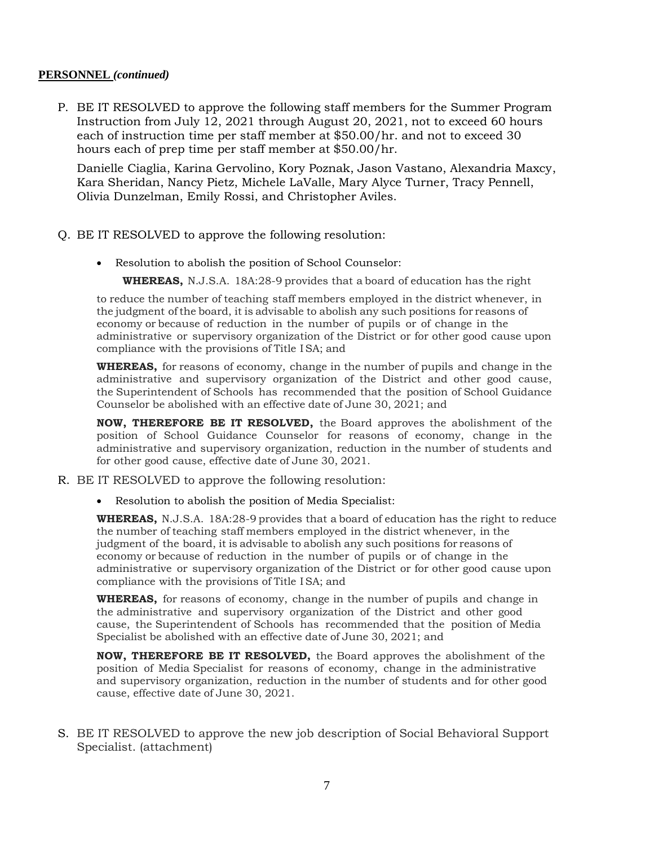#### **PERSONNEL** *(continued)*

P. BE IT RESOLVED to approve the following staff members for the Summer Program Instruction from July 12, 2021 through August 20, 2021, not to exceed 60 hours each of instruction time per staff member at \$50.00/hr. and not to exceed 30 hours each of prep time per staff member at \$50.00/hr.

Danielle Ciaglia, Karina Gervolino, Kory Poznak, Jason Vastano, Alexandria Maxcy, Kara Sheridan, Nancy Pietz, Michele LaValle, Mary Alyce Turner, Tracy Pennell, Olivia Dunzelman, Emily Rossi, and Christopher Aviles.

- Q. BE IT RESOLVED to approve the following resolution:
	- Resolution to abolish the position of School Counselor:

**WHEREAS,** N.J.S.A. 18A:28-9 provides that a board of education has the right

to reduce the number of teaching staff members employed in the district whenever, in the judgment ofthe board, it is advisable to abolish any such positions for reasons of economy or because of reduction in the number of pupils or of change in the administrative or supervisory organization of the District or for other good cause upon compliance with the provisions of Title I SA; and

**WHEREAS,** for reasons of economy, change in the number of pupils and change in the administrative and supervisory organization of the District and other good cause, the Superintendent of Schools has recommended that the position of School Guidance Counselor be abolished with an effective date of June 30, 2021; and

**NOW, THEREFORE BE IT RESOLVED,** the Board approves the abolishment of the position of School Guidance Counselor for reasons of economy, change in the administrative and supervisory organization, reduction in the number of students and for other good cause, effective date of June 30, 2021.

- R. BE IT RESOLVED to approve the following resolution:
	- Resolution to abolish the position of Media Specialist:

**WHEREAS,** N.J.S.A. 18A:28-9 provides that a board of education has the right to reduce the number of teaching staff members employed in the district whenever, in the judgment of the board, it is advisable to abolish any such positions for reasons of economy or because of reduction in the number of pupils or of change in the administrative or supervisory organization of the District or for other good cause upon compliance with the provisions of Title I SA; and

**WHEREAS,** for reasons of economy, change in the number of pupils and change in the administrative and supervisory organization of the District and other good cause, the Superintendent of Schools has recommended that the position of Media Specialist be abolished with an effective date of June 30, 2021; and

**NOW, THEREFORE BE IT RESOLVED,** the Board approves the abolishment of the position of Media Specialist for reasons of economy, change in the administrative and supervisory organization, reduction in the number of students and for other good cause, effective date of June 30, 2021.

S. BE IT RESOLVED to approve the new job description of Social Behavioral Support Specialist. (attachment)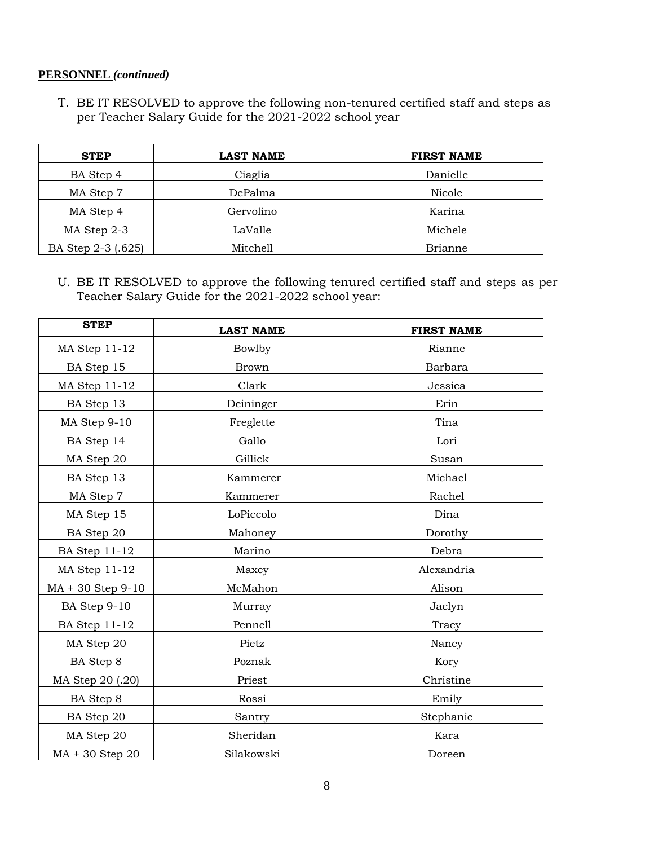# **PERSONNEL** *(continued)*

T. BE IT RESOLVED to approve the following non-tenured certified staff and steps as per Teacher Salary Guide for the 2021-2022 school year

| <b>STEP</b>        | <b>LAST NAME</b> | <b>FIRST NAME</b> |
|--------------------|------------------|-------------------|
| BA Step 4          | Ciaglia          | Danielle          |
| MA Step 7          | DePalma          | Nicole            |
| MA Step 4          | Gervolino        | Karina            |
| MA Step 2-3        | LaValle          | Michele           |
| BA Step 2-3 (.625) | Mitchell         | Brianne           |

U. BE IT RESOLVED to approve the following tenured certified staff and steps as per Teacher Salary Guide for the 2021-2022 school year:

| <b>STEP</b>          | <b>LAST NAME</b> | <b>FIRST NAME</b> |  |
|----------------------|------------------|-------------------|--|
| MA Step 11-12        | Bowlby           | Rianne            |  |
| BA Step 15           | <b>Brown</b>     | Barbara           |  |
| MA Step 11-12        | Clark            | Jessica           |  |
| BA Step 13           | Deininger        | Erin              |  |
| MA Step 9-10         | Freglette        | Tina              |  |
| BA Step 14           | Gallo            | Lori              |  |
| MA Step 20           | Gillick          | Susan             |  |
| BA Step 13           | Kammerer         | Michael           |  |
| MA Step 7            | Kammerer         | Rachel            |  |
| MA Step 15           | LoPiccolo        | Dina              |  |
| BA Step 20           | Mahoney          | Dorothy           |  |
| <b>BA Step 11-12</b> | Marino           | Debra             |  |
| MA Step 11-12        | Maxcy            | Alexandria        |  |
| $MA + 30$ Step 9-10  | McMahon          | Alison            |  |
| BA Step 9-10         | Murray           | Jaclyn            |  |
| <b>BA Step 11-12</b> | Pennell          | Tracy             |  |
| MA Step 20           | Pietz            | Nancy             |  |
| BA Step 8            | Poznak           | Kory              |  |
| MA Step 20 (.20)     | Priest           | Christine         |  |
| BA Step 8            | Rossi            | Emily             |  |
| BA Step 20           | Santry           | Stephanie         |  |
| MA Step 20           | Sheridan         | Kara              |  |
| MA + 30 Step 20      | Silakowski       | Doreen            |  |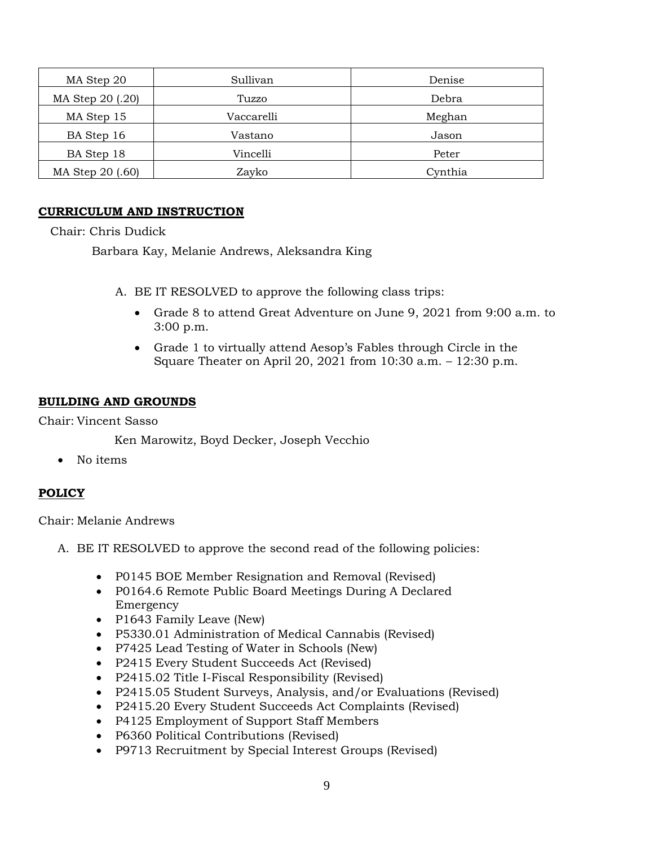| MA Step 20       | Sullivan   | Denise  |
|------------------|------------|---------|
| MA Step 20 (.20) | Tuzzo      | Debra   |
| MA Step 15       | Vaccarelli | Meghan  |
| BA Step 16       | Vastano    | Jason   |
| BA Step 18       | Vincelli   | Peter   |
| MA Step 20 (.60) | Zayko      | Cynthia |

# **CURRICULUM AND INSTRUCTION**

#### Chair: Chris Dudick

Barbara Kay, Melanie Andrews, Aleksandra King

- A. BE IT RESOLVED to approve the following class trips:
	- Grade 8 to attend Great Adventure on June 9, 2021 from 9:00 a.m. to 3:00 p.m.
	- Grade 1 to virtually attend Aesop's Fables through Circle in the Square Theater on April 20, 2021 from 10:30 a.m. – 12:30 p.m.

### **BUILDING AND GROUNDS**

Chair: Vincent Sasso

Ken Marowitz, Boyd Decker, Joseph Vecchio

• No items

# **POLICY**

Chair: Melanie Andrews

- A. BE IT RESOLVED to approve the second read of the following policies:
	- P0145 BOE Member Resignation and Removal (Revised)
	- P0164.6 Remote Public Board Meetings During A Declared Emergency
	- P1643 Family Leave (New)
	- P5330.01 Administration of Medical Cannabis (Revised)
	- P7425 Lead Testing of Water in Schools (New)
	- P2415 Every Student Succeeds Act (Revised)
	- P2415.02 Title I-Fiscal Responsibility (Revised)
	- P2415.05 Student Surveys, Analysis, and/or Evaluations (Revised)
	- P2415.20 Every Student Succeeds Act Complaints (Revised)
	- P4125 Employment of Support Staff Members
	- P6360 Political Contributions (Revised)
	- P9713 Recruitment by Special Interest Groups (Revised)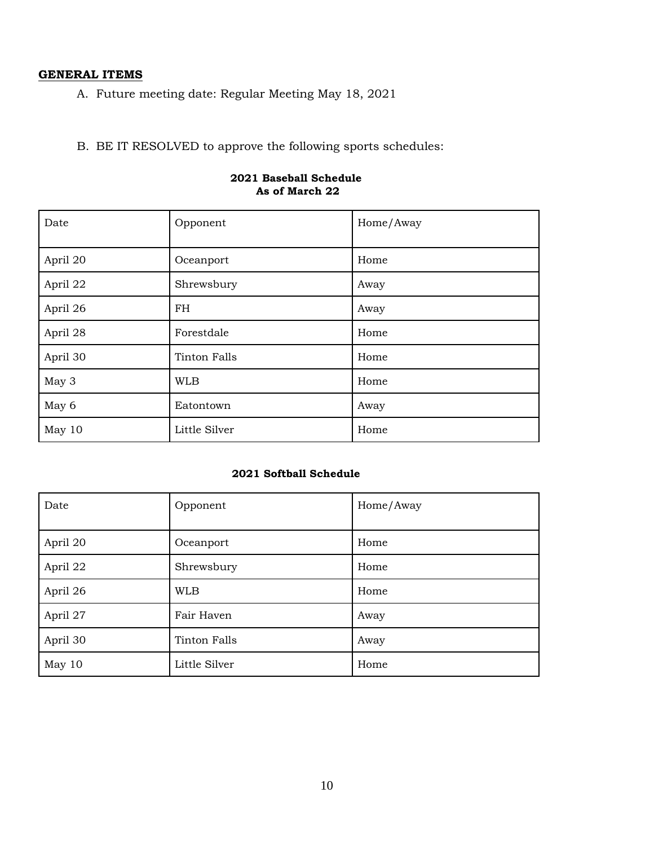# **GENERAL ITEMS**

A. Future meeting date: Regular Meeting May 18, 2021

B. BE IT RESOLVED to approve the following sports schedules:

| Date     | Opponent            | Home/Away |
|----------|---------------------|-----------|
| April 20 | Oceanport           | Home      |
| April 22 | Shrewsbury          | Away      |
| April 26 | FH                  | Away      |
| April 28 | Forestdale          | Home      |
| April 30 | <b>Tinton Falls</b> | Home      |
| May 3    | WLB                 | Home      |
| May 6    | Eatontown           | Away      |
| May 10   | Little Silver       | Home      |

#### **2021 Baseball Schedule As of March 22**

#### **2021 Softball Schedule**

| Date     | Opponent      | Home/Away |
|----------|---------------|-----------|
| April 20 | Oceanport     | Home      |
| April 22 | Shrewsbury    | Home      |
| April 26 | <b>WLB</b>    | Home      |
| April 27 | Fair Haven    | Away      |
| April 30 | Tinton Falls  | Away      |
| May 10   | Little Silver | Home      |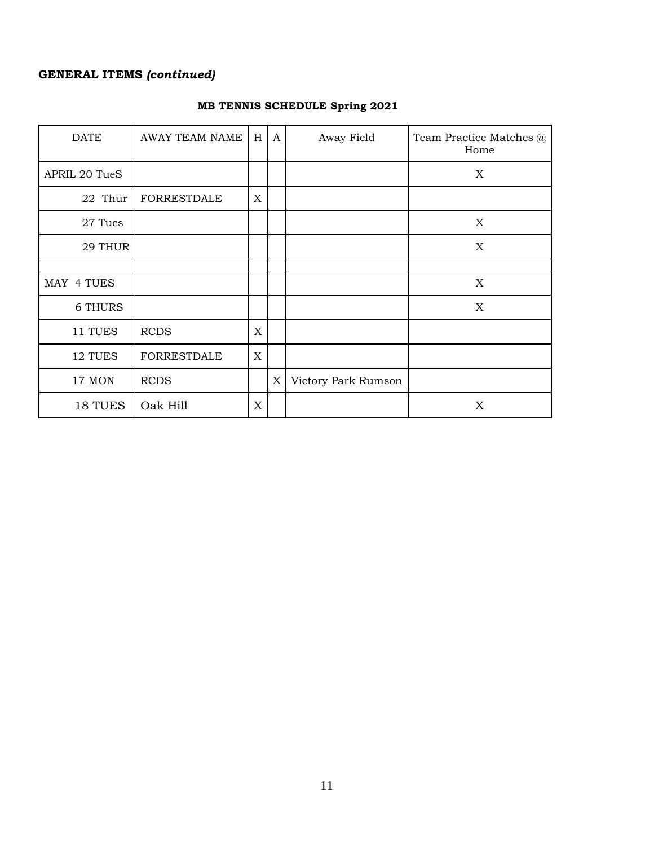# **GENERAL ITEMS** *(continued)*

| <b>DATE</b>    | <b>AWAY TEAM NAME</b> | $\,$ H      | A | Away Field          | Team Practice Matches @<br>Home |
|----------------|-----------------------|-------------|---|---------------------|---------------------------------|
| APRIL 20 TueS  |                       |             |   |                     | X                               |
| 22 Thur        | <b>FORRESTDALE</b>    | $\mathbf X$ |   |                     |                                 |
| 27 Tues        |                       |             |   |                     | X                               |
| 29 THUR        |                       |             |   |                     | $\mathbf X$                     |
|                |                       |             |   |                     |                                 |
| MAY 4 TUES     |                       |             |   |                     | X                               |
| <b>6 THURS</b> |                       |             |   |                     | $\mathbf X$                     |
| 11 TUES        | <b>RCDS</b>           | X           |   |                     |                                 |
| 12 TUES        | <b>FORRESTDALE</b>    | $\mathbf X$ |   |                     |                                 |
| 17 MON         | <b>RCDS</b>           |             | X | Victory Park Rumson |                                 |
| 18 TUES        | Oak Hill              | X           |   |                     | X                               |

# **MB TENNIS SCHEDULE Spring 2021**